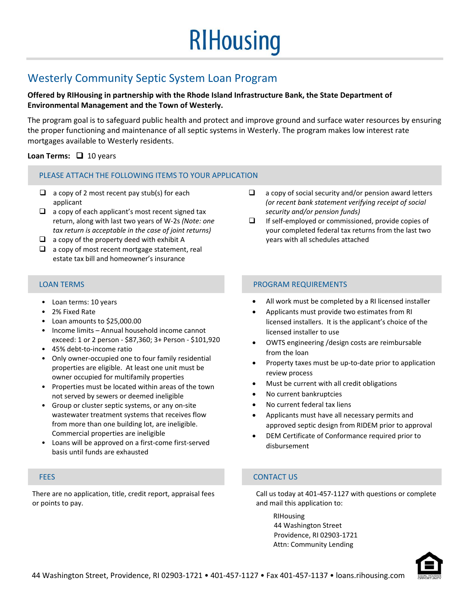# **RIHousing**

## Westerly Community Septic System Loan Program

## **Offered by RIHousing in partnership with the Rhode Island Infrastructure Bank, the State Department of Environmental Management and the Town of Westerly.**

The program goal is to safeguard public health and protect and improve ground and surface water resources by ensuring the proper functioning and maintenance of all septic systems in Westerly. The program makes low interest rate mortgages available to Westerly residents.

## **Loan Terms:** 10 years

## PLEASE ATTACH THE FOLLOWING ITEMS TO YOUR APPLICATION

- $\Box$  a copy of 2 most recent pay stub(s) for each applicant
- $\Box$  a copy of each applicant's most recent signed tax return, along with last two years of W‐2s *(Note: one tax return is acceptable in the case of joint returns)*
- $\Box$  a copy of the property deed with exhibit A
- $\Box$  a copy of most recent mortgage statement, real estate tax bill and homeowner's insurance

### $\Box$  a copy of social security and/or pension award letters *(or recent bank statement verifying receipt of social security and/or pension funds)*

 $\Box$  If self-employed or commissioned, provide copies of your completed federal tax returns from the last two years with all schedules attached

- Loan terms: 10 years
- 2% Fixed Rate
- Loan amounts to \$25,000.00
- Income limits Annual household income cannot exceed: 1 or 2 person ‐ \$87,360; 3+ Person ‐ \$101,920
- 45% debt‐to‐income ratio
- Only owner‐occupied one to four family residential properties are eligible. At least one unit must be owner occupied for multifamily properties
- Properties must be located within areas of the town not served by sewers or deemed ineligible
- Group or cluster septic systems, or any on-site wastewater treatment systems that receives flow from more than one building lot, are ineligible. Commercial properties are ineligible
- Loans will be approved on a first‐come first‐served basis until funds are exhausted

There are no application, title, credit report, appraisal fees or points to pay.

### LOAN TERMS PROGRAM REQUIREMENTS

- All work must be completed by a RI licensed installer
- Applicants must provide two estimates from RI licensed installers. It is the applicant's choice of the licensed installer to use
- OWTS engineering /design costs are reimbursable from the loan
- Property taxes must be up‐to‐date prior to application review process
- Must be current with all credit obligations
- No current bankruptcies
- No current federal tax liens
- Applicants must have all necessary permits and approved septic design from RIDEM prior to approval
- DEM Certificate of Conformance required prior to disbursement

## FEES CONTACT US

Call us today at 401‐457‐1127 with questions or complete and mail this application to:

RIHousing 44 Washington Street Providence, RI 02903‐1721 Attn: Community Lending